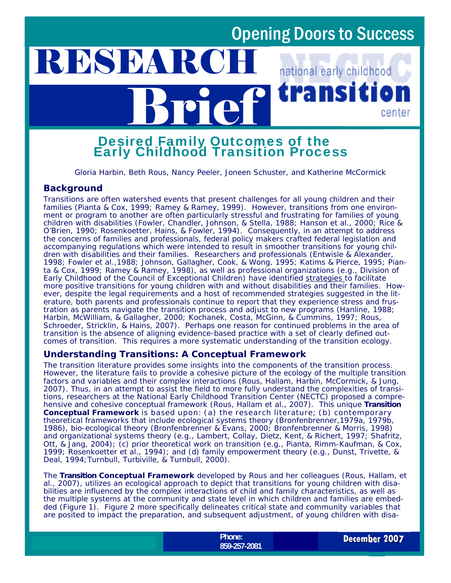rai

national early childhood

na

center

# Brief Desired Family Outcomes of the Early Childhood Transition Process

*Gloria Harbin, Beth Rous, Nancy Peeler, Joneen Schuster, and Katherine McCormick* 

#### **Background**

RESEARC

Transitions are often watershed events that present challenges for all young children and their families (Pianta & Cox, 1999; Ramey & Ramey, 1999). However, transitions from one environment or program to another are often particularly stressful and frustrating for families of young children with disabilities (Fowler, Chandler, Johnson, & Stella, 1988; Hanson et al., 2000; Rice & O'Brien, 1990; Rosenkoetter, Hains, & Fowler, 1994). Consequently, in an attempt to address the concerns of families and professionals, federal policy makers crafted federal legislation and accompanying regulations which were intended to result in smoother transitions for young children with disabilities and their families. Researchers and professionals (Entwisle & Alexander, 1998; Fowler et al.,1988; Johnson, Gallagher, Cook, & Wong, 1995; Katims & Pierce, 1995; Pianta & Cox, 1999; Ramey & Ramey, 1998), as well as professional organizations (e.g., Division of Early Childhood of the Council of Exceptional Children) have identified *strategies* to facilitate more positive transitions for young children with and without disabilities and their families. However, despite the legal requirements and a host of recommended strategies suggested in the literature, both parents and professionals continue to report that they experience stress and frustration as parents navigate the transition process and adjust to new programs (Hanline, 1988; Harbin, McWilliam, & Gallagher, 2000; Kochanek, Costa, McGinn, & Cummins, 1997; Rous, Schroeder, Stricklin, & Hains, 2007). Perhaps one reason for continued problems in the area of transition is the absence of aligning evidence-based practice with a set of clearly defined outcomes of transition. This requires a more systematic understanding of the transition ecology.

#### **Understanding Transitions: A Conceptual Framework**

The transition literature provides some insights into the components of the transition process. However, the literature fails to provide a cohesive picture of the ecology of the multiple transition factors and variables and their complex interactions (Rous, Hallam, Harbin, McCormick, & Jung, 2007). Thus, in an attempt to assist the field to more fully understand the complexities of transitions, researchers at the National Early Childhood Transition Center (NECTC) proposed a comprehensive and cohesive conceptual framework (Rous, Hallam et al., 2007). This unique *Transition Conceptual Framework* is based upon: (a) the research literature; (b) contemporary theoretical frameworks that include ecological systems theory (Bronfenbrenner,1979a, 1979b, 1986), bio-ecological theory (Bronfenbrenner & Evans, 2000; Bronfenbrenner & Morris, 1998) and organizational systems theory (e.g., Lambert, Collay, Dietz, Kent, & Richert, 1997; Shafritz, Ott, & Jang, 2004); (c) prior theoretical work on transition (e.g., Pianta, Rimm-Kaufman, & Cox, 1999; Rosenkoetter et al., 1994); and (d) family empowerment theory (e.g., Dunst, Trivette, & Deal, 1994;Turnbull, Turbiville, & Turnbull, 2000).

The *Transition Conceptual Framework* developed by Rous and her colleagues (Rous, Hallam, et al., 2007), utilizes an ecological approach to depict that transitions for young children with disabilities are influenced by the complex interactions of child and family characteristics, as well as the multiple systems at the community and state level in which children and families are embedded (Figure 1). Figure 2 more specifically delineates critical state and community variables that are posited to impact the preparation, and subsequent adjustment, of young children with disa-

> **Phone:**  859-257-2081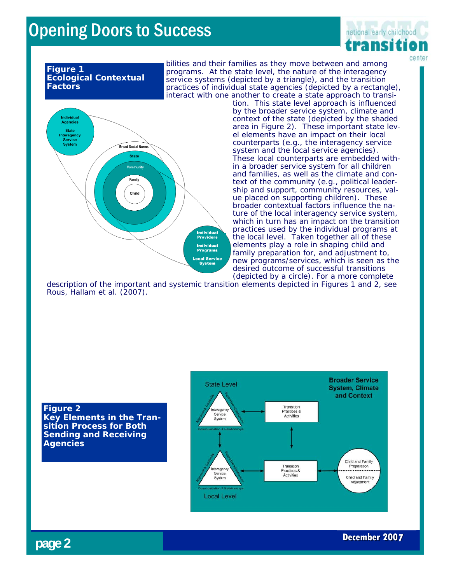

#### **Figure 1 Ecological Contextual Factors**

bilities and their families as they move between and among programs. At the state level, the nature of the interagency service systems (depicted by a triangle), and the transition practices of individual state agencies (depicted by a rectangle), interact with one another to create a state approach to transi-



tion. This state level approach is influenced by the broader service system, climate and context of the state (depicted by the shaded area in Figure 2). These important state level elements have an impact on their local counterparts (e.g., the interagency service system and the local service agencies). These local counterparts are embedded within a broader service system for all children and families, as well as the climate and context of the community (e.g., political leadership and support, community resources, value placed on supporting children). These broader contextual factors influence the nature of the local interagency service system, which in turn has an impact on the transition practices used by the individual programs at the local level. Taken together all of these elements play a role in shaping child and family preparation for, and adjustment to, new programs/services, which is seen as the desired outcome of successful transitions (depicted by a circle). For a more complete

description of the important and systemic transition elements depicted in Figures 1 and 2, see Rous, Hallam et al. (2007).

#### **Figure 2 Key Elements in the Transition Process for Both Sending and Receiving Agencies**



**page 2**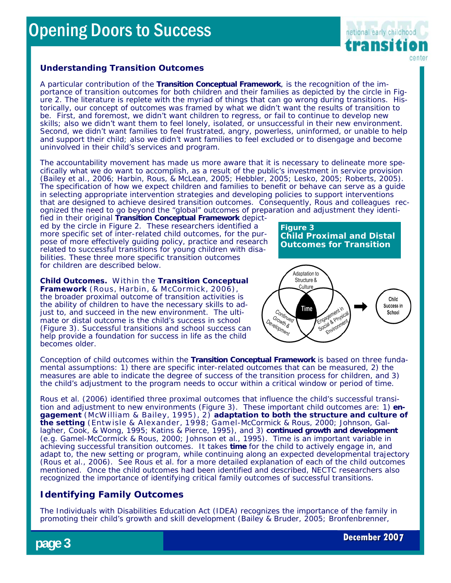

#### **Understanding Transition Outcomes**

A particular contribution of the *Transition Conceptual Framework*, is the recognition of the importance of transition outcomes for both children and their families as depicted by the circle in Figure 2. The literature is replete with the myriad of things that can go wrong during transitions. Historically, our concept of outcomes was framed by what we *didn't want* the results of transition to be. *First*, and foremost, we *didn't want* children to regress, or fail to continue to develop new skills; also we *didn't want* them to feel lonely, isolated, or unsuccessful in their new environment. *Second*, we *didn't want* families to feel frustrated, angry, powerless, uninformed, or unable to help and support their child; also we *didn't want* families to feel excluded or to disengage and become uninvolved in their child's services and program.

The accountability movement has made us more aware that it is necessary to delineate more specifically what we *do want* to accomplish, as a result of the public's investment in service provision (Bailey et al., 2006; Harbin, Rous, & McLean, 2005; Hebbler, 2005; Lesko, 2005; Roberts, 2005). The specification of how we expect children and families to benefit or behave can serve as a guide in selecting appropriate intervention strategies and developing policies to support interventions that are designed to achieve desired transition outcomes. Consequently, Rous and colleagues recognized the need to go beyond the "global" outcomes of preparation and adjustment they identi-

fied in their original *Transition Conceptual Framework* depicted by the circle in Figure 2*.* These researchers identified a more specific set of *inter-related* child outcomes, for the purpose of more effectively guiding policy, practice and research related to successful transitions for young children with disabilities. These three more specific transition outcomes for children are described below.

**Child Outcomes.** Within the *Transition Conceptual Framework* (Rous, Harbin, & McCormick, 2006), the broader *proximal* outcome of transition activities is the ability of children to have the necessary skills to adjust to, and succeed in the new environment. The ultimate or *distal* outcome is the child's success in school (Figure 3). Successful transitions and school success can help provide a foundation for success in life as the child becomes older.

**Figure 3 Child Proximal and Distal Outcomes for Transition**



Conception of child outcomes within the *Transition Conceptual Framework* is based on three fundamental assumptions: 1) there are specific *inter-related* outcomes that can be measured, 2) the measures are able to indicate the *degree of success* of the transition process for children, and 3) the child's adjustment to the program needs to occur within a *critical window* or *period of time.*

Rous et al. (2006) identified three proximal outcomes that influence the child's successful transition and adjustment to new environments (Figure 3). These important child outcomes are: 1) **engagement** (McWilliam & Bailey, 1995), 2) **adaptation to both the structure and culture of the setting** (Entw isle & Alexander, 1998; Gamel-McCormick & Rous, 2000; Johnson, Gallagher, Cook, & Wong, 1995; Katins & Pierce, 1995), and 3) **continued growth and development** (e.g. Gamel-McCormick & Rous, 2000; Johnson et al., 1995). Time is an important variable in achieving successful transition outcomes. It takes **time** for the child to actively engage in, and adapt to, the new setting or program, while continuing along an expected developmental trajectory (Rous et al., 2006). See Rous et al. for a more detailed explanation of each of the child outcomes mentioned. Once the child outcomes had been identified and described, NECTC researchers also recognized the importance of identifying critical family outcomes of successful transitions.

#### **Identifying Family Outcomes**

The Individuals with Disabilities Education Act (IDEA) recognizes the importance of the family in promoting their child's growth and skill development (Bailey & Bruder, 2005; Bronfenbrenner,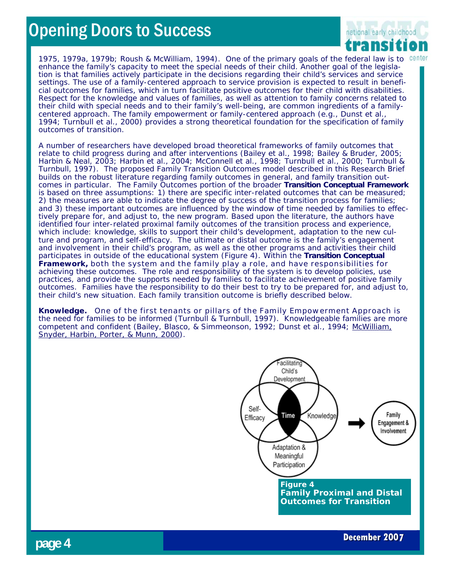

1975, 1979a, 1979b; Roush & McWilliam, 1994). One of the primary goals of the federal law is to centel enhance the family's capacity to meet the special needs of their child. Another goal of the legislation is that families actively participate in the decisions regarding their child's services and service settings. The use of a family-centered approach to service provision is expected to result in beneficial outcomes for families, which in turn facilitate positive outcomes for their child with disabilities. Respect for the knowledge and values of families, as well as attention to family concerns related to their child with special needs and to their family's well-being, are common ingredients of a familycentered approach. The family empowerment or family-centered approach (e.g., Dunst et al., 1994; Turnbull et al., 2000) provides a strong theoretical foundation for the specification of family outcomes of transition.

A number of researchers have developed broad theoretical frameworks of family outcomes that relate to child progress during and after interventions (Bailey et al., 1998; Bailey & Bruder, 2005; Harbin & Neal, 2003; Harbin et al., 2004; McConnell et al., 1998; Turnbull et al., 2000; Turnbull & Turnbull, 1997). The proposed Family Transition Outcomes model described in this Research Brief builds on the robust literature regarding family outcomes in general, and family transition outcomes in particular. The Family Outcomes portion of the broader *Transition Conceptual Framework*  is based on three assumptions: 1) there are specific *inter-related* outcomes that can be measured; 2) the measures are able to indicate the *degree of success* of the transition process for families; and 3) these important outcomes are influenced by the window of time needed by families to effectively prepare for, and adjust to, the new program. Based upon the literature, the authors have identified four inter-related *proximal* family outcomes of the transition process and experience, which include: knowledge, skills to support their child's development, adaptation to the new culture and program, and self-efficacy. The ultimate or *distal* outcome is the family's engagement and involvement in their child's program, as well as the other programs and activities their child participates in outside of the educational system (Figure 4). Within the *Transition Conceptual Framework,* both the system and the family play a role, and have responsibilities for achieving these outcomes. The role and responsibility of the system is to develop policies, use practices, and provide the supports needed by families to facilitate achievement of positive family outcomes. Families have the responsibility to do their best to try to be prepared for, and adjust to, their child's new situation. Each family transition outcome is briefly described below.

**Knowledge.** One of the first tenants or pillars of the *Family Empowerment Approach* is the need for families to be informed (Turnbull & Turnbull, 1997). Knowledgeable families are more competent and confident (Bailey, Blasco, & Simmeonson, 1992; Dunst et al., 1994; McWilliam, Snyder, Harbin, Porter, & Munn, 2000).



**December 2007**

**page 4**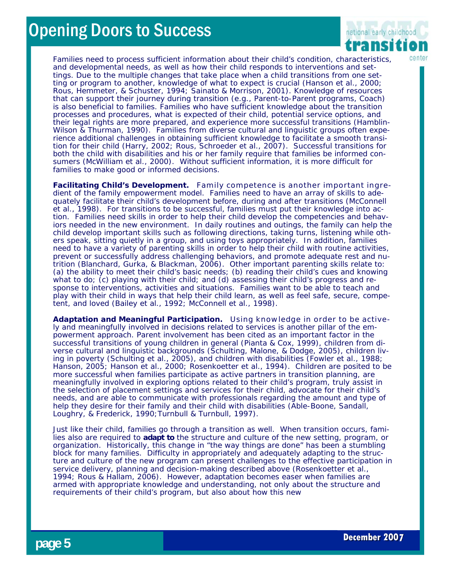

Families need to process sufficient information about their *child's* condition, characteristics, and developmental needs, as well as how their child responds to interventions and settings. Due to the multiple changes that take place when a child transitions from one setting or program to another, knowledge of what to expect is crucial (Hanson et al., 2000; Rous, Hemmeter, & Schuster, 1994; Sainato & Morrison, 2001). Knowledge of resources that can support their journey during transition (e.g., Parent-to-Parent programs, Coach) is also beneficial to families. Families who have sufficient knowledge about the transition processes and procedures, what is expected of their child, potential service options, and their legal rights are more prepared, and experience more successful transitions (Hamblin-Wilson & Thurman, 1990). Families from diverse cultural and linguistic groups often experience additional challenges in obtaining sufficient knowledge to facilitate a smooth transition for their child (Harry, 2002; Rous, Schroeder et al., 2007). Successful transitions for both the child with disabilities and his or her family require that families be *informed consumers* (McWilliam et al., 2000). Without sufficient information, it is more difficult for families to make good or informed decisions.

**Facilitating Child's Development.** Family competence is another important ingredient of the family empowerment model. Families need to have an array of skills to adequately facilitate their child's development before, during and after transitions (McConnell et al., 1998). For transitions to be successful, families must put their knowledge into action. Families need skills in order to help their child develop the competencies and behaviors needed in the new environment. In daily routines and outings, the family can help the child develop important skills such as following directions, taking turns, listening while others speak, sitting quietly in a group, and using toys appropriately. In addition, families need to have a variety of *parenting skills* in order to help their child with routine activities, prevent or successfully address challenging behaviors, and promote adequate rest and nutrition (Blanchard, Gurka, & Blackman, 2006). Other important parenting skills relate to: (a) the ability to meet their child's basic needs; (b) reading their child's cues and knowing what to do; (c) playing with their child; and (d) assessing their child's progress and response to interventions, activities and situations. Families want to be able to teach and play with their child in ways that help their child learn, as well as feel safe, secure, competent, and loved (Bailey et al., 1992; McConnell et al., 1998).

**Adaptation and Meaningful Participation.** Using knowledge in order to be actively and meaningfully involved in decisions related to services is another pillar of the empowerment approach. Parent involvement has been cited as an important factor in the successful transitions of young children in general (Pianta & Cox, 1999), children from diverse cultural and linguistic backgrounds (Schulting, Malone, & Dodge, 2005), children living in poverty (Schulting et al., 2005), and children with disabilities (Fowler et al., 1988; Hanson, 2005; Hanson et al., 2000; Rosenkoetter et al., 1994). Children are posited to be more successful when families participate as active *partners* in transition planning, are meaningfully involved in exploring options related to their child's program, truly assist in the selection of placement settings and services for their child, advocate for their child's needs, and are able to communicate with professionals regarding the amount and type of help they desire for their family and their child with disabilities (Able-Boone, Sandall, Loughry, & Frederick, 1990; Turnbull & Turnbull, 1997).

Just like their child, families go through a transition as well. When transition occurs, families also are required to *adapt to* the structure and culture of the new setting, program, or organization. Historically, this change in "the way things are done" has been a stumbling block for many families. Difficulty in appropriately and adequately adapting to the structure and culture of the new program can present challenges to the effective participation in service delivery, planning and decision-making described above (Rosenkoetter et al., 1994; Rous & Hallam, 2006). However, adaptation becomes easer when families are armed with appropriate knowledge and understanding, not only about the structure and requirements of their child's program, but also about how this new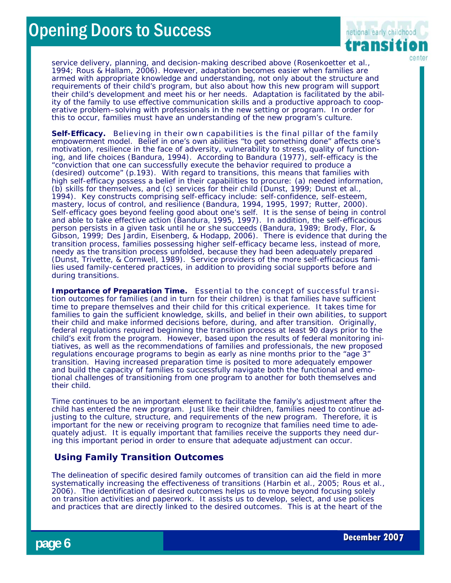

service delivery, planning, and decision-making described above (Rosenkoetter et al., 1994; Rous & Hallam, 2006). However, adaptation becomes easier when families are armed with appropriate knowledge and understanding, not only about the structure and requirements of their child's program, but also about how this new program will support their child's development and meet his or her needs. Adaptation is facilitated by the ability of the family to use effective communication skills and a productive approach to cooperative problem–solving with professionals in the new setting or program. In order for this to occur, families must have an understanding of the new program's culture.

**Self-Efficacy.** Believing in their own capabilities is the final pillar of the family empowerment model. Belief in one's own abilities "to get something done" affects one's motivation, resilience in the face of adversity, vulnerability to stress, quality of functioning, and life choices (Bandura, 1994). According to Bandura (1977), self-efficacy is the "conviction that one can successfully execute the behavior required to produce a (desired) outcome" (p.193). With regard to transitions, this means that families with high self-efficacy possess a belief in their capabilities to procure: (a) needed information, (b) skills for themselves, and (c) services for their child (Dunst, 1999; Dunst et al., 1994). Key constructs comprising self-efficacy include: self-confidence, self-esteem, mastery, locus of control, and resilience (Bandura, 1994, 1995, 1997; Rutter, 2000). Self-efficacy goes beyond feeling good about one's self. It is the *sense of being in control* and able to take effective action (Bandura, 1995, 1997). In addition, the self-efficacious person *persists* in a given task until he or she *succeeds* (Bandura, 1989; Brody, Flor, & Gibson, 1999; Des Jardin, Eisenberg, & Hodapp, 2006). There is evidence that during the transition process, families possessing higher self-efficacy became less, instead of more, needy as the transition process unfolded, because they had been adequately prepared (Dunst, Trivette, & Cornwell, 1989). Service providers of the more self-efficacious families used family-centered practices, in addition to providing social supports before and during transitions.

**Importance of Preparation Time.** Essential to the concept of successful transition outcomes for families (and in turn for their children) is that families have sufficient time to *prepare* themselves and their child for this critical experience. It takes time for families to gain the sufficient knowledge, skills, and belief in their own abilities, to support their child and make informed decisions before, during, and after transition. Originally, federal regulations required beginning the transition process at least 90 days prior to the child's exit from the program. However, based upon the results of federal monitoring initiatives, as well as the recommendations of families and professionals, the new proposed regulations encourage programs to begin as early as nine months prior to the "age 3" transition. Having increased preparation time is posited to more adequately empower and build the capacity of families to successfully navigate both the functional and emotional challenges of transitioning from one program to another for both themselves and their child.

Time continues to be an important element to facilitate the family's adjustment after the child has entered the new program. Just like their children, families need to continue adjusting to the culture, structure, and requirements of the new program. Therefore, it is important for the new or receiving program to recognize that families need time to adequately adjust. It is equally important that families receive the supports they need during this important period in order to ensure that adequate adjustment can occur.

#### **Using Family Transition Outcomes**

The delineation of specific desired family outcomes of transition can aid the field in more systematically increasing the effectiveness of transitions (Harbin et al., 2005; Rous et al., 2006). The identification of desired outcomes helps us to *move beyond* focusing solely on transition activities and paperwork. It assists us to develop, select, and use polices and practices that are directly linked to the desired outcomes. This is at the heart of the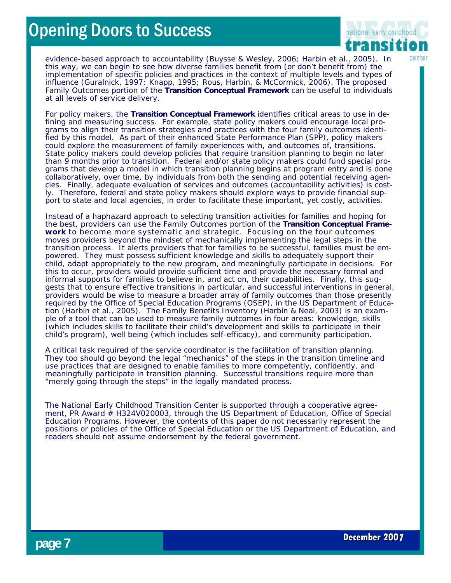

evidence-based approach to accountability (Buysse & Wesley, 2006; Harbin et al., 2005). In this way, we can begin to see how diverse families benefit from (or don't benefit from) the implementation of specific policies and practices in the context of multiple levels and types of influence (Guralnick, 1997; Knapp, 1995; Rous, Harbin, & McCormick, 2006). The proposed Family Outcomes portion of the *Transition Conceptual Framework* can be useful to individuals at all levels of service delivery.

For *policy makers,* the *Transition Conceptual Framework* identifies critical areas to use in defining and measuring success. For example, state policy makers could encourage local programs to align their transition strategies and practices with the four family outcomes identified by this model. As part of their enhanced State Performance Plan (SPP), policy makers could explore the measurement of family experiences with, and outcomes of, transitions. State policy makers could develop policies that require transition planning to begin *no later than* 9 months prior to transition. Federal and/or state policy makers could fund special programs that develop a model in which transition planning begins at program entry and is done collaboratively, over time, by individuals from both the sending and potential receiving agencies. Finally, adequate evaluation of services and outcomes (accountability activities) is costly. Therefore, federal and state policy makers should explore ways to provide financial support to state and local agencies, in order to facilitate these important, yet costly, activities.

Instead of a haphazard approach to selecting transition activities for families and hoping for the best, *providers* can use the Family Outcomes portion of the *Transition Conceptual Framework* to become more systematic and strategic. Focusing on the four outcomes moves providers beyond the mindset of mechanically implementing the legal steps in the transition process. It alerts providers that for families to be successful, families must be empowered. They must possess sufficient knowledge and skills to adequately support their child, adapt appropriately to the new program, and meaningfully participate in decisions. For this to occur, providers would provide sufficient time and provide the necessary formal and informal supports for families to believe in, and act on, their capabilities. Finally, this suggests that to ensure effective transitions in particular, and successful interventions in general, providers would be wise to measure a broader array of family outcomes than those presently required by the Office of Special Education Programs (OSEP), in the US Department of Education (Harbin et al., 2005). The *Family Benefits Inventory* (Harbin & Neal, 2003) is an example of a tool that can be used to measure family outcomes in four areas: knowledge, skills (which includes skills to facilitate their child's development and skills to participate in their child's program), well being (which includes self-efficacy), and community participation.

A critical task required of the *service coordinator* is the facilitation of transition planning. They too should go beyond the legal "mechanics" of the steps in the transition timeline and use practices that are designed to enable families to more competently, confidently, and meaningfully participate in transition planning. Successful transitions require more than "merely going through the steps" in the legally mandated process.

The National Early Childhood Transition Center is supported through a cooperative agreement, PR Award # H324V020003, through the US Department of Education, Office of Special Education Programs. However, the contents of this paper do not necessarily represent the positions or policies of the Office of Special Education or the US Department of Education, and readers should not assume endorsement by the federal government.

**page 7**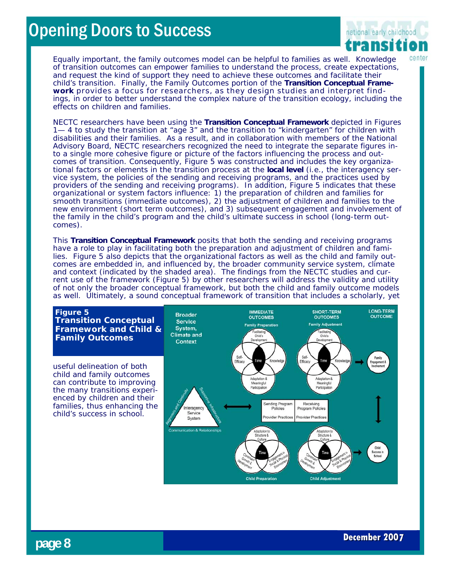

Equally important, the family outcomes model can be helpful to *families* as well. Knowledge of transition outcomes can empower families to understand the process, create expectations, and request the kind of support they need to achieve these outcomes and facilitate their child's transition. Finally, the Family Outcomes portion of the *Transition Conceptual Framework* provides a focus for *researchers,* as they design studies and interpret findings, in order to better understand the complex nature of the transition ecology, including the effects on children and families.

NECTC researchers have been using the *Transition Conceptual Framework* depicted in Figures 1— 4 to study the transition at "age 3" and the transition to "kindergarten" for children with disabilities and their families. As a result, and in collaboration with members of the National Advisory Board, NECTC researchers recognized the need to integrate the separate figures into a single more cohesive figure or picture of the factors influencing the process and outcomes of transition. Consequently, Figure 5 was constructed and includes the key organizational factors or elements in the transition process at the **local level** (i.e., the interagency service system, the policies of the sending and receiving programs, and the practices used by providers of the sending and receiving programs). In addition, Figure 5 indicates that these organizational or system factors influence: 1) the preparation of children and families for smooth transitions (immediate outcomes), 2) the adjustment of children and families to the new environment (short term outcomes), and 3) subsequent engagement and involvement of the family in the child's program and the child's ultimate success in school (long-term outcomes).

This *Transition Conceptual Framework* posits that both the sending and receiving programs have a role to play in facilitating both the preparation and adjustment of children and families. Figure 5 also depicts that the organizational factors as well as the child and family outcomes are embedded in, and influenced by, the broader community service system, climate and context (indicated by the shaded area). The findings from the NECTC studies and current use of the framework (Figure 5) by other researchers will address the validity and utility of not only the broader conceptual framework, but both the child and family outcome models as well. Ultimately, a sound conceptual framework of transition that includes a scholarly, yet

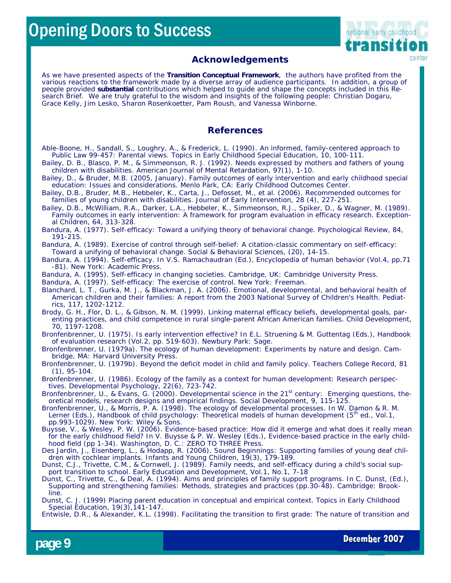

#### **Acknowledgements**

As we have presented aspects of the *Transition Conceptual Framework*,the authors have profited from the various reactions to the framework made by a diverse array of audience participants. In addition, a group of people provided *substantial* contributions which helped to guide and shape the concepts included in this Research Brief. We are truly grateful to the wisdom and insights of the following people: Christian Dogaru, Grace Kelly, Jim Lesko, Sharon Rosenkoetter, Pam Roush, and Vanessa Winborne.

#### **References**

Able-Boone, H., Sandall, S., Loughry, A., & Frederick, L. (1990). An informed, family-centered approach to Public Law 99-457: Parental views. *Topics in Early Childhood Special Education*, 10, 100-111.

Bailey, D. B., Blasco, P. M., & Simmeonson, R. J. (1992). Needs expressed by mothers and fathers of young children with disabilities. *American Journal of Mental Retardation, 97*(1), 1-10.

Bailey, D., & Bruder, M.B. (2005, January). *Family outcomes of early intervention and early childhood special education: Issues and considerations*. Menlo Park, CA: Early Childhood Outcomes Center*.* 

Bailey, D.B., Bruder, M.B., Hebbeler, K., Carta, J., Defosset, M., et al. (2006). Recommended outcomes for families of young children with disabilities. *Journal of Early Intervention*, 28 (4), 227-251.

Bailey, D.B., McWilliam, R.A., Darker, L.A., Hebbeler, K., Simmeonson, R.J., Spiker, D., & Wagner, M. (1989). Family outcomes in early intervention: A framework for program evaluation in efficacy research. *Exceptional Children, 64,* 313-328.

Bandura, A. (1989). Exercise of control through self-belief: A citation-classic commentary on self-efficacy: Toward a unifying of behavioral change. *Social & Behavioral Sciences,* (20), 14-15.

Bandura, A. (1994). Self-efficacy. In V.S. Ramachaudran (Ed.), *Encyclopedia of human behavior* (Vol.4, pp.71 -81). New York: Academic Press.

Bandura, A. (1995). *Self-efficacy in changing societies*. Cambridge, UK: Cambridge University Press.

Bandura, A. (1997). *Self-efficacy: The exercise of control*. New York: Freeman.

Blanchard, L. T., Gurka, M. J., & Blackman, J. A. (2006). Emotional, developmental, and behavioral health of American children and their families: A report from the 2003 National Survey of Children's Health. *Pediatrics, 117*, 1202-1212.

Brody, G. H., Flor, D. L., & Gibson, N. M. (1999). Linking maternal efficacy beliefs, developmental goals, parenting practices, and child competence in rural single-parent African American families. *Child Development*, 70, 1197-1208.

Bronfenbrenner, U. (1975). Is early intervention effective? In E.L. Struening & M. Guttentag (Eds.), *Handbook of evaluation research* (Vol.2, pp. 519-603). Newbury Park: Sage.

Bronfenbrenner, U. (1979a). *The ecology of human development: Experiments by nature and design.* Cambridge, MA: Harvard University Press.

Bronfenbrenner, U. (1979b). Beyond the deficit model in child and family policy. *Teachers College Record, 81 (1),* 95-104.

Bronfenbrenner, U. (1986). Ecology of the family as a context for human development: Research perspectives. *Developmental Psychology, 22(6),* 723-742.

Bronfenbrenner, U., & Evans, G. (2000). Developmental science in the 21<sup>st</sup> century: Emerging questions, theoretical models, research designs and empirical findings. *Social Development, 9,* 115-125.

Bronfenbrenner, U., & Morris, P. A. (1998). The ecology of developmental processes. In W. Damon & R. M. Lerner (Eds.), *Handbook of child psychology: Theoretical models of human development* (5<sup>th</sup> ed., Vol.1, pp.993-1029). New York: Wiley & Sons.

Buysse, V., & Wesley, P. W. (2006). Evidence-based practice: How did it emerge and what does it really mean for the early childhood field? In V. Buysse & P. W. Wesley (Eds.), *Evidence-based practice in the early childhood field* (pp 1-34). Washington, D. C.: ZERO TO THREE Press.

Des Jardin, J., Eisenberg, L., & Hodapp, R. (2006). Sound Beginnings: Supporting families of young deaf children with cochlear implants. *Infants and Young Children*, 19(3), 179-189.

Dunst, C.J., Trivette, C.M., & Cornwell, J. (1989). Family needs, and self-efficacy during a child's social support transition to school. *Early Education and Development,* Vol.1, No.1, 7-18

Dunst, C., Trivette, C., & Deal, A. (1994). Aims and principles of family support programs. In C. Dunst, (Ed.), *Supporting and strengthening families: Methods, strategies and practices* (pp.30-48). Cambridge: Brookline.

Dunst, C. J. (1999) Placing parent education in conceptual and empirical context. *Topics in Early Childhood Special Education,* 19(3),141-147.

Entwisle, D.R., & Alexander, K.L. (1998). Facilitating the transition to first grade: The nature of transition and

Bandura, A. (1977). Self-efficacy: Toward a unifying theory of behavioral change. *Psychological Review, 84*, 191-215.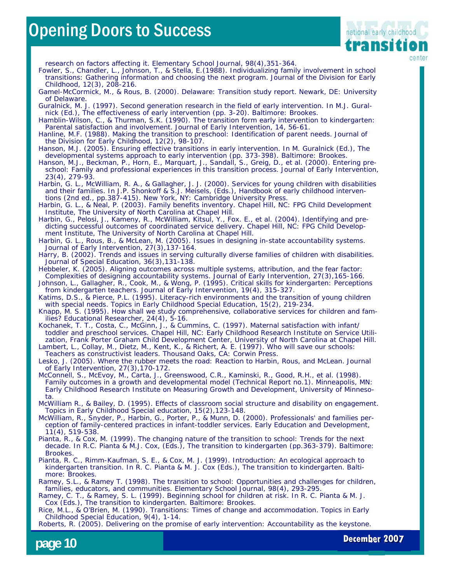

research on factors affecting it. *Elementary School Journal, 98(4),*351-364.

Fowler, S., Chandler, L., Johnson, T., & Stella, E.(1988). Individualizing family involvement in school transitions: Gathering information and choosing the next program. *Journal of the Division for Early Childhood*, 12(3), 208-216.

Gamel-McCormick, M., & Rous, B. (2000). *Delaware: Transition study report.* Newark, DE: University of Delaware.

Guralnick, M. J. (1997). Second generation research in the field of early intervention. In M.J. Guralnick (Ed.), *The effectiveness of early intervention* (pp. 3-20). Baltimore: Brookes.

Hamblin-Wilson, C., & Thurman, S.K. (1990). The transition form early intervention to kindergarten: Parental satisfaction and involvement. *Journal of Early Intervention,* 14, 56-61.

Hanline, M.F. (1988). Making the transition to preschool: Identification of parent needs. *Journal of the Division for Early Childhood, 12(2),* 98-107.

Hanson, M.J. (2005). Ensuring effective transitions in early intervention. In M. Guralnick (Ed.), *The developmental systems approach to early intervention* (pp. 373-398). Baltimore: Brookes.

Hanson, M.J., Beckman, P., Horn, E., Marquart, J., Sandall, S., Greig, D., et al. (2000). Entering preschool: Family and professional experiences in this transition process*. Journal of Early Intervention*, 23(4), 279-93.

Harbin, G. L., McWilliam, R. A., & Gallagher, J. J. (2000). Services for young children with disabilities and their families. In J.P. Shonkoff & S.J. Meisels, (Eds.), *Handbook of early childhood interventions* (2nd ed., pp.387-415). New York, NY: Cambridge University Press.

Harbin, G. L., & Neal, P. (2003). *Family benefits inventory*. Chapel Hill, NC: FPG Child Development Institute, The University of North Carolina at Chapel Hill.

Harbin, G., Pelosi, J., Kameny, R., McWilliam, Kitsul, Y., Fox. E., et al. (2004). *Identifying and predicting successful outcomes of coordinated service delivery*. Chapel Hill, NC: FPG Child Development Institute, The University of North Carolina at Chapel Hill.

Harbin, G. L., Rous, B., & McLean, M. (2005). Issues in designing in-state accountability systems. *Journal of Early Intervention*, 27(3),137-164.

Harry, B. (2002). Trends and issues in serving culturally diverse families of children with disabilities. *Journal of Special Education*, 36(3),131-138.

Hebbeler, K. (2005). Aligning outcomes across multiple systems, attribution, and the fear factor: Complexities of designing accountability systems. *Journal of Early Intervention*, 27(3),165-166.

Johnson, L., Gallagher, R., Cook, M., & Wong, P. (1995). Critical skills for kindergarten: Perceptions from kindergarten teachers. *Journal of Early Intervention, 19(4),* 315-327.

Katims, D.S., & Pierce, P.L. (1995). Literacy-rich environments and the transition of young children with special needs. *Topics in Early Childhood Special Education, 15(2),* 219-234.

Knapp, M. S. (1995). How shall we study comprehensive, collaborative services for children and families? *Educational Researcher*, 24(4), 5-16.

Kochanek, T. T., Costa, C., McGinn, J., & Cummins, C. (1997). *Maternal satisfaction with infant/ toddler and preschool services*. Chapel Hill, NC: Early Childhood Research Institute on Service Utilization, Frank Porter Graham Child Development Center, University of North Carolina at Chapel Hill.

Lambert, L., Collay, M., Dietz, M., Kent, K., & Richert, A. E. (1997). *Who will save our schools: Teachers as constructivist leaders*. Thousand Oaks, CA: Corwin Press.

Lesko, J. (2005). Where the rubber meets the road: Reaction to Harbin, Rous, and McLean. *Journal of Early Intervention,* 27(3),170-172.

McConnell, S., McEvoy, M., Carta, J., Greenswood, C.R., Kaminski, R., Good, R.H., et al. (1998). *Family outcomes in a growth and developmental model (Technical Report no.1).* Minneapolis, MN: Early Childhood Research Institute on Measuring Growth and Development, University of Minnesota.

McWilliam R., & Bailey, D. (1995). Effects of classroom social structure and disability on engagement. *Topics in Early Childhood Special education,* 15(2),123-148.

McWilliam, R., Snyder, P., Harbin, G., Porter, P., & Munn, D. (2000). Professionals' and families perception of family-centered practices in infant-toddler services. *Early Education and Development,* 11(4), 519-538.

Pianta, R., & Cox, M. (1999). The changing nature of the transition to school: Trends for the next decade. In R.C. Pianta & M.J. Cox, (Eds.), *The transition to kindergarten* (pp.363-379). Baltimore: **Brookes** 

Pianta, R. C., Rimm-Kaufman, S. E., & Cox, M. J. (1999). Introduction: An ecological approach to kindergarten transition. In R. C. Pianta & M. J. Cox (Eds.), *The transition to kindergarten.* Baltimore: Brookes.

Ramey, S.L., & Ramey T. (1998). The transition to school: Opportunities and challenges for children, families, educators, and communities. *Elementary School Journal, 98(4),* 293-295.

Ramey, C. T., & Ramey, S. L. (1999). Beginning school for children at risk. In R. C. Pianta & M. J. Cox (Eds.), *The transition to kindergarten.* Baltimore: Brookes.

Rice, M.L., & O'Brien, M. (1990). Transitions: Times of change and accommodation. *Topics in Early Childhood Special Education, 9(4),* 1-14.

Roberts, R. (2005). Delivering on the promise of early intervention: Accountability as the keystone.



**December 2007**